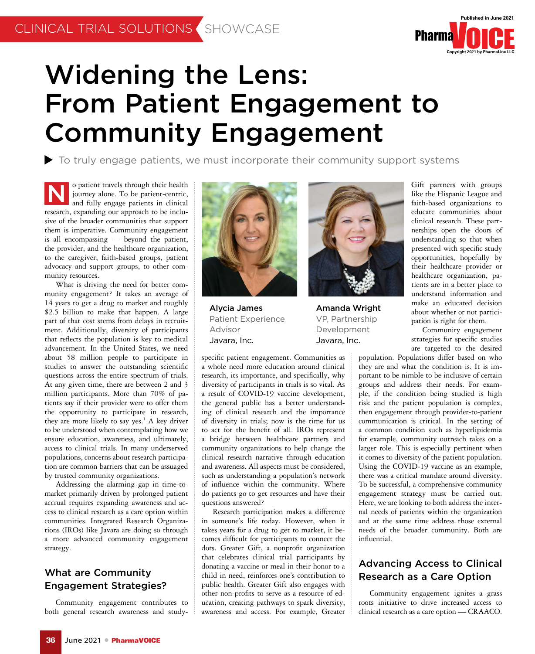

# Widening the Lens: From Patient Engagement to Community Engagement

To truly engage patients, we must incorporate their community support systems

them is imperative. Community engagement o patient travels through their health journey alone. To be patient-centric, and fully engage patients in clinical research, expanding our approach to be inclusive of the broader communities that support is all encompassing — beyond the patient, the provider, and the healthcare organization, to the caregiver, faith-based groups, patient advocacy and support groups, to other community resources. N

ment. Additionally, diversity of participants Advisor What is driving the need for better community engagement? It takes an average of 14 years to get a drug to market and roughly \$2.5 billion to make that happen. A large part of that cost stems from delays in recruitthat reflects the population is key to medical advancement. In the United States, we need about 58 million people to participate in studies to answer the outstanding scientific questions across the entire spectrum of trials. At any given time, there are between 2 and 3 million participants. More than 70% of patients say if their provider were to offer them the opportunity to participate in research, they are more likely to say yes.<sup>1</sup> A key driver to be understood when contemplating how we ensure education, awareness, and ultimately, access to clinical trials. In many underserved populations, concerns about research participation are common barriers that can be assuaged by trusted community organizations.

Addressing the alarming gap in time-tomarket primarily driven by prolonged patient accrual requires expanding awareness and access to clinical research as a care option within communities. Integrated Research Organizations (IROs) like Javara are doing so through a more advanced community engagement strategy.

## What are Community Engagement Strategies?

Community engagement contributes to both general research awareness and study-



Alycia James Patient Experience Advisor Javara, Inc.

specific patient engagement. Communities as a whole need more education around clinical research, its importance, and specifically, why diversity of participants in trials is so vital. As a result of COVID-19 vaccine development, the general public has a better understanding of clinical research and the importance of diversity in trials; now is the time for us to act for the benefit of all. IROs represent a bridge between healthcare partners and community organizations to help change the clinical research narrative through education and awareness. All aspects must be considered, such as understanding a population's network of influence within the community. Where do patients go to get resources and have their questions answered?

Research participation makes a difference in someone's life today. However, when it takes years for a drug to get to market, it becomes difficult for participants to connect the dots. Greater Gift, a nonprofit organization that celebrates clinical trial participants by donating a vaccine or meal in their honor to a child in need, reinforces one's contribution to public health. Greater Gift also engages with other non-profits to serve as a resource of education, creating pathways to spark diversity, awareness and access. For example, Greater



Amanda Wright VP, Partnership Development Javara, Inc.

Gift partners with groups like the Hispanic League and faith-based organizations to educate communities about clinical research. These partnerships open the doors of understanding so that when presented with specific study opportunities, hopefully by their healthcare provider or healthcare organization, patients are in a better place to understand information and make an educated decision about whether or not participation is right for them.

Community engagement strategies for specific studies are targeted to the desired

population. Populations differ based on who they are and what the condition is. It is important to be nimble to be inclusive of certain groups and address their needs. For example, if the condition being studied is high risk and the patient population is complex, then engagement through provider-to-patient communication is critical. In the setting of a common condition such as hyperlipidemia for example, community outreach takes on a larger role. This is especially pertinent when it comes to diversity of the patient population. Using the COVID-19 vaccine as an example, there was a critical mandate around diversity. To be successful, a comprehensive community engagement strategy must be carried out. Here, we are looking to both address the internal needs of patients within the organization and at the same time address those external needs of the broader community. Both are influential.

## Advancing Access to Clinical Research as a Care Option

Community engagement ignites a grass roots initiative to drive increased access to clinical research as a care option — CRAACO.